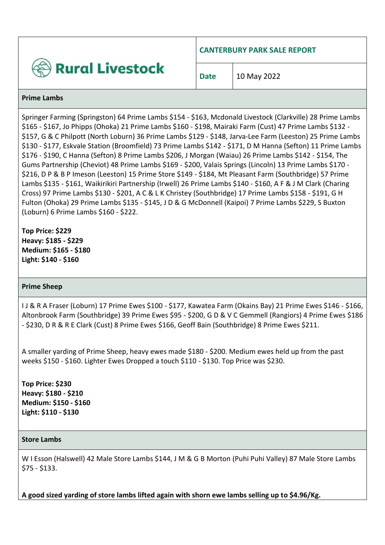

**CANTERBURY PARK SALE REPORT**

**Date** 10 May 2022

#### **Prime Lambs**

Springer Farming (Springston) 64 Prime Lambs \$154 - \$163, Mcdonald Livestock (Clarkville) 28 Prime Lambs \$165 - \$167, Jo Phipps (Ohoka) 21 Prime Lambs \$160 - \$198, Mairaki Farm (Cust) 47 Prime Lambs \$132 - \$157, G & C Philpott (North Loburn) 36 Prime Lambs \$129 - \$148, Jarva-Lee Farm (Leeston) 25 Prime Lambs \$130 - \$177, Eskvale Station (Broomfield) 73 Prime Lambs \$142 - \$171, D M Hanna (Sefton) 11 Prime Lambs \$176 - \$190, C Hanna (Sefton) 8 Prime Lambs \$206, J Morgan (Waiau) 26 Prime Lambs \$142 - \$154, The Gums Partnership (Cheviot) 48 Prime Lambs \$169 - \$200, Valais Springs (Lincoln) 13 Prime Lambs \$170 - \$216, D P & B P Imeson (Leeston) 15 Prime Store \$149 - \$184, Mt Pleasant Farm (Southbridge) 57 Prime Lambs \$135 - \$161, Waikirikiri Partnership (Irwell) 26 Prime Lambs \$140 - \$160, A F & J M Clark (Charing Cross) 97 Prime Lambs \$130 - \$201, A C & L K Christey (Southbridge) 17 Prime Lambs \$158 - \$191, G H Fulton (Ohoka) 29 Prime Lambs \$135 - \$145, J D & G McDonnell (Kaipoi) 7 Prime Lambs \$229, S Buxton (Loburn) 6 Prime Lambs \$160 - \$222.

**Top Price: \$229 Heavy: \$185 - \$229 Medium: \$165 - \$180 Light: \$140 - \$160**

#### **Prime Sheep**

I J & R A Fraser (Loburn) 17 Prime Ewes \$100 - \$177, Kawatea Farm (Okains Bay) 21 Prime Ewes \$146 - \$166, Altonbrook Farm (Southbridge) 39 Prime Ewes \$95 - \$200, G D & V C Gemmell (Rangiors) 4 Prime Ewes \$186 - \$230, D R & R E Clark (Cust) 8 Prime Ewes \$166, Geoff Bain (Southbridge) 8 Prime Ewes \$211.

A smaller yarding of Prime Sheep, heavy ewes made \$180 - \$200. Medium ewes held up from the past weeks \$150 - \$160. Lighter Ewes Dropped a touch \$110 - \$130. Top Price was \$230.

**Top Price: \$230 Heavy: \$180 - \$210 Medium: \$150 - \$160 Light: \$110 - \$130**

#### **Store Lambs**

W I Esson (Halswell) 42 Male Store Lambs \$144, J M & G B Morton (Puhi Puhi Valley) 87 Male Store Lambs \$75 - \$133.

**A good sized yarding of store lambs lifted again with shorn ewe lambs selling up to \$4.96/Kg.**